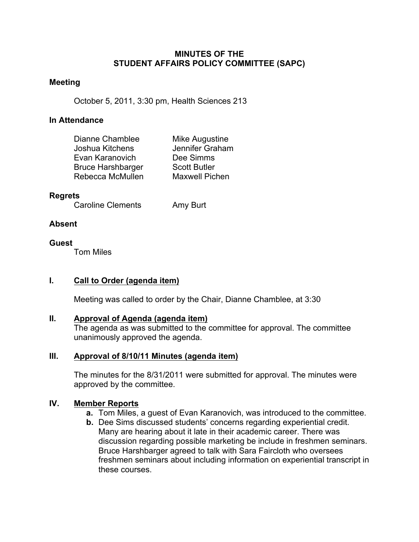#### **MINUTES OF THE STUDENT AFFAIRS POLICY COMMITTEE (SAPC)**

#### **Meeting**

October 5, 2011, 3:30 pm, Health Sciences 213

### **In Attendance**

| Dianne Chamblee          | Mike Augustine        |
|--------------------------|-----------------------|
| Joshua Kitchens          | Jennifer Graham       |
| Evan Karanovich          | Dee Simms             |
| <b>Bruce Harshbarger</b> | <b>Scott Butler</b>   |
| Rebecca McMullen         | <b>Maxwell Pichen</b> |

#### **Regrets**

Caroline Clements Amy Burt

## **Absent**

# **Guest**

Tom Miles

# **I. Call to Order (agenda item)**

Meeting was called to order by the Chair, Dianne Chamblee, at 3:30

#### **II. Approval of Agenda (agenda item)**

The agenda as was submitted to the committee for approval. The committee unanimously approved the agenda.

#### **III. Approval of 8/10/11 Minutes (agenda item)**

The minutes for the 8/31/2011 were submitted for approval. The minutes were approved by the committee.

# **IV. Member Reports**

- **a.** Tom Miles, a guest of Evan Karanovich, was introduced to the committee.
- **b.** Dee Sims discussed students' concerns regarding experiential credit. Many are hearing about it late in their academic career. There was discussion regarding possible marketing be include in freshmen seminars. Bruce Harshbarger agreed to talk with Sara Faircloth who oversees freshmen seminars about including information on experiential transcript in these courses.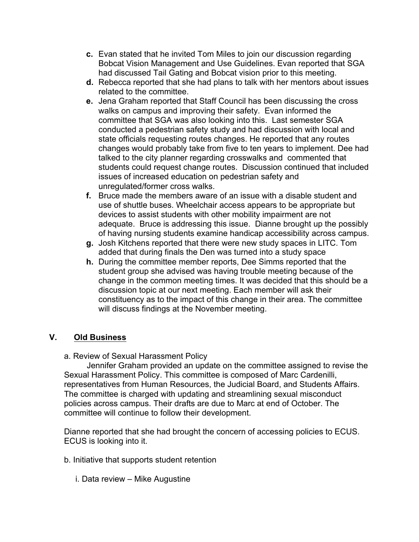- **c.** Evan stated that he invited Tom Miles to join our discussion regarding Bobcat Vision Management and Use Guidelines. Evan reported that SGA had discussed Tail Gating and Bobcat vision prior to this meeting.
- **d.** Rebecca reported that she had plans to talk with her mentors about issues related to the committee.
- **e.** Jena Graham reported that Staff Council has been discussing the cross walks on campus and improving their safety. Evan informed the committee that SGA was also looking into this. Last semester SGA conducted a pedestrian safety study and had discussion with local and state officials requesting routes changes. He reported that any routes changes would probably take from five to ten years to implement. Dee had talked to the city planner regarding crosswalks and commented that students could request change routes. Discussion continued that included issues of increased education on pedestrian safety and unregulated/former cross walks.
- **f.** Bruce made the members aware of an issue with a disable student and use of shuttle buses. Wheelchair access appears to be appropriate but devices to assist students with other mobility impairment are not adequate. Bruce is addressing this issue. Dianne brought up the possibly of having nursing students examine handicap accessibility across campus.
- **g.** Josh Kitchens reported that there were new study spaces in LITC. Tom added that during finals the Den was turned into a study space
- **h.** During the committee member reports, Dee Simms reported that the student group she advised was having trouble meeting because of the change in the common meeting times. It was decided that this should be a discussion topic at our next meeting. Each member will ask their constituency as to the impact of this change in their area. The committee will discuss findings at the November meeting.

# **V. Old Business**

a. Review of Sexual Harassment Policy

 Jennifer Graham provided an update on the committee assigned to revise the Sexual Harassment Policy. This committee is composed of Marc Cardenilli, representatives from Human Resources, the Judicial Board, and Students Affairs. The committee is charged with updating and streamlining sexual misconduct policies across campus. Their drafts are due to Marc at end of October. The committee will continue to follow their development.

Dianne reported that she had brought the concern of accessing policies to ECUS. ECUS is looking into it.

- b. Initiative that supports student retention
	- i. Data review Mike Augustine